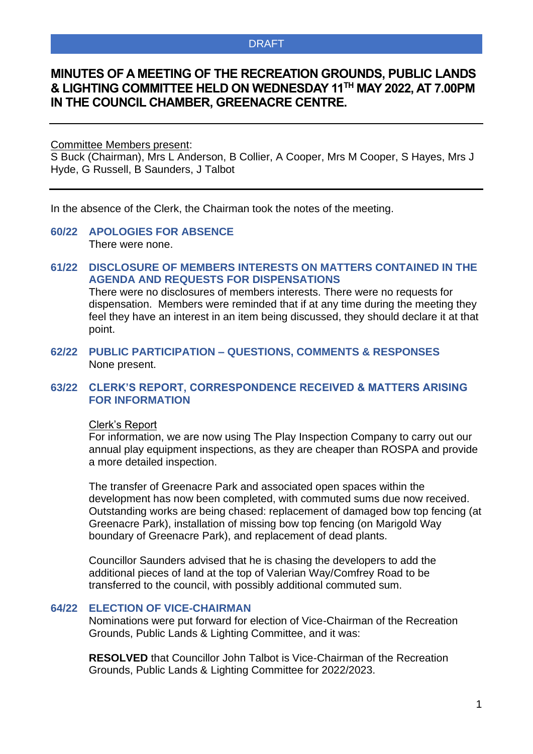# **MINUTES OF A MEETING OF THE RECREATION GROUNDS, PUBLIC LANDS & LIGHTING COMMITTEE HELD ON WEDNESDAY 11 TH MAY 2022, AT 7.00PM IN THE COUNCIL CHAMBER, GREENACRE CENTRE.**

#### Committee Members present:

S Buck (Chairman), Mrs L Anderson, B Collier, A Cooper, Mrs M Cooper, S Hayes, Mrs J Hyde, G Russell, B Saunders, J Talbot

In the absence of the Clerk, the Chairman took the notes of the meeting.

### **60/22 APOLOGIES FOR ABSENCE** There were none.

**61/22 DISCLOSURE OF MEMBERS INTERESTS ON MATTERS CONTAINED IN THE AGENDA AND REQUESTS FOR DISPENSATIONS**

There were no disclosures of members interests. There were no requests for dispensation. Members were reminded that if at any time during the meeting they feel they have an interest in an item being discussed, they should declare it at that point.

**62/22 PUBLIC PARTICIPATION – QUESTIONS, COMMENTS & RESPONSES** None present.

# **63/22 CLERK'S REPORT, CORRESPONDENCE RECEIVED & MATTERS ARISING FOR INFORMATION**

#### Clerk's Report

For information, we are now using The Play Inspection Company to carry out our annual play equipment inspections, as they are cheaper than ROSPA and provide a more detailed inspection.

The transfer of Greenacre Park and associated open spaces within the development has now been completed, with commuted sums due now received. Outstanding works are being chased: replacement of damaged bow top fencing (at Greenacre Park), installation of missing bow top fencing (on Marigold Way boundary of Greenacre Park), and replacement of dead plants.

Councillor Saunders advised that he is chasing the developers to add the additional pieces of land at the top of Valerian Way/Comfrey Road to be transferred to the council, with possibly additional commuted sum.

### **64/22 ELECTION OF VICE-CHAIRMAN**

Nominations were put forward for election of Vice-Chairman of the Recreation Grounds, Public Lands & Lighting Committee, and it was:

**RESOLVED** that Councillor John Talbot is Vice-Chairman of the Recreation Grounds, Public Lands & Lighting Committee for 2022/2023.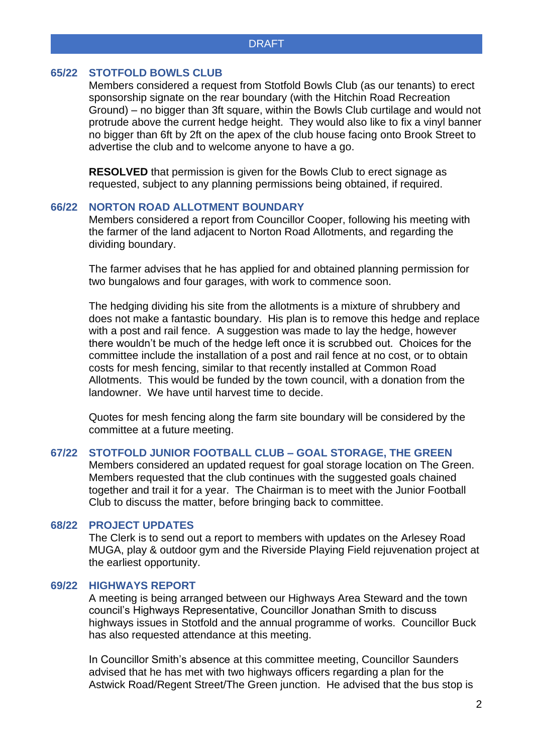#### **65/22 STOTFOLD BOWLS CLUB**

Members considered a request from Stotfold Bowls Club (as our tenants) to erect sponsorship signate on the rear boundary (with the Hitchin Road Recreation Ground) – no bigger than 3ft square, within the Bowls Club curtilage and would not protrude above the current hedge height. They would also like to fix a vinyl banner no bigger than 6ft by 2ft on the apex of the club house facing onto Brook Street to advertise the club and to welcome anyone to have a go.

**RESOLVED** that permission is given for the Bowls Club to erect signage as requested, subject to any planning permissions being obtained, if required.

## **66/22 NORTON ROAD ALLOTMENT BOUNDARY**

Members considered a report from Councillor Cooper, following his meeting with the farmer of the land adjacent to Norton Road Allotments, and regarding the dividing boundary.

The farmer advises that he has applied for and obtained planning permission for two bungalows and four garages, with work to commence soon.

The hedging dividing his site from the allotments is a mixture of shrubbery and does not make a fantastic boundary. His plan is to remove this hedge and replace with a post and rail fence. A suggestion was made to lay the hedge, however there wouldn't be much of the hedge left once it is scrubbed out. Choices for the committee include the installation of a post and rail fence at no cost, or to obtain costs for mesh fencing, similar to that recently installed at Common Road Allotments. This would be funded by the town council, with a donation from the landowner. We have until harvest time to decide.

Quotes for mesh fencing along the farm site boundary will be considered by the committee at a future meeting.

# **67/22 STOTFOLD JUNIOR FOOTBALL CLUB – GOAL STORAGE, THE GREEN**

Members considered an updated request for goal storage location on The Green. Members requested that the club continues with the suggested goals chained together and trail it for a year. The Chairman is to meet with the Junior Football Club to discuss the matter, before bringing back to committee.

#### **68/22 PROJECT UPDATES**

The Clerk is to send out a report to members with updates on the Arlesey Road MUGA, play & outdoor gym and the Riverside Playing Field rejuvenation project at the earliest opportunity.

### **69/22 HIGHWAYS REPORT**

A meeting is being arranged between our Highways Area Steward and the town council's Highways Representative, Councillor Jonathan Smith to discuss highways issues in Stotfold and the annual programme of works. Councillor Buck has also requested attendance at this meeting.

In Councillor Smith's absence at this committee meeting, Councillor Saunders advised that he has met with two highways officers regarding a plan for the Astwick Road/Regent Street/The Green junction. He advised that the bus stop is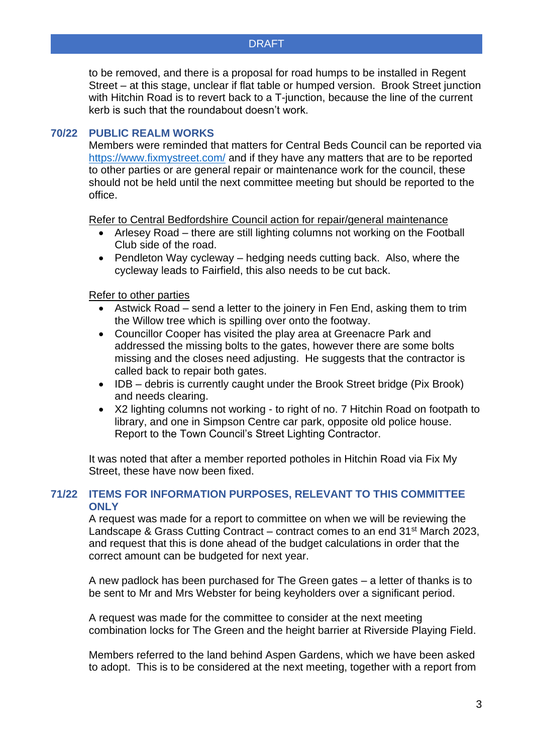to be removed, and there is a proposal for road humps to be installed in Regent Street – at this stage, unclear if flat table or humped version. Brook Street junction with Hitchin Road is to revert back to a T-junction, because the line of the current kerb is such that the roundabout doesn't work.

# **70/22 PUBLIC REALM WORKS**

Members were reminded that matters for Central Beds Council can be reported via <https://www.fixmystreet.com/> and if they have any matters that are to be reported to other parties or are general repair or maintenance work for the council, these should not be held until the next committee meeting but should be reported to the office.

Refer to Central Bedfordshire Council action for repair/general maintenance

- Arlesey Road there are still lighting columns not working on the Football Club side of the road.
- Pendleton Way cycleway hedging needs cutting back. Also, where the cycleway leads to Fairfield, this also needs to be cut back.

## Refer to other parties

- Astwick Road send a letter to the joinery in Fen End, asking them to trim the Willow tree which is spilling over onto the footway.
- Councillor Cooper has visited the play area at Greenacre Park and addressed the missing bolts to the gates, however there are some bolts missing and the closes need adjusting. He suggests that the contractor is called back to repair both gates.
- IDB debris is currently caught under the Brook Street bridge (Pix Brook) and needs clearing.
- X2 lighting columns not working to right of no. 7 Hitchin Road on footpath to library, and one in Simpson Centre car park, opposite old police house. Report to the Town Council's Street Lighting Contractor.

It was noted that after a member reported potholes in Hitchin Road via Fix My Street, these have now been fixed.

# **71/22 ITEMS FOR INFORMATION PURPOSES, RELEVANT TO THIS COMMITTEE ONLY**

A request was made for a report to committee on when we will be reviewing the Landscape & Grass Cutting Contract – contract comes to an end  $31<sup>st</sup>$  March 2023, and request that this is done ahead of the budget calculations in order that the correct amount can be budgeted for next year.

A new padlock has been purchased for The Green gates – a letter of thanks is to be sent to Mr and Mrs Webster for being keyholders over a significant period.

A request was made for the committee to consider at the next meeting combination locks for The Green and the height barrier at Riverside Playing Field.

Members referred to the land behind Aspen Gardens, which we have been asked to adopt. This is to be considered at the next meeting, together with a report from